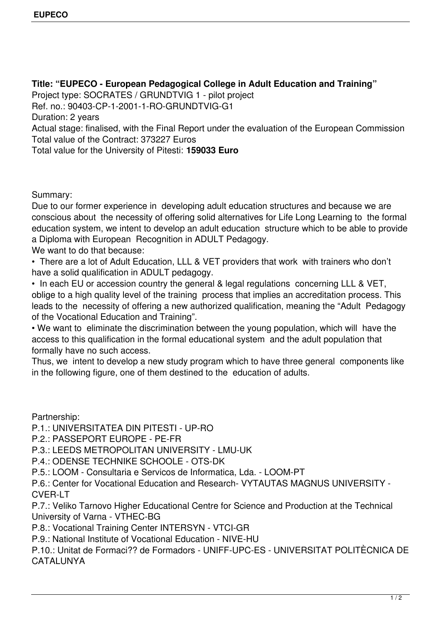**Title: "EUPECO - European Pedagogical College in Adult Education and Training"** Project type: SOCRATES / GRUNDTVIG 1 - pilot project Ref. no.: 90403-CP-1-2001-1-RO-GRUNDTVIG-G1 Duration: 2 years Actual stage: finalised, with the Final Report under the evaluation of the European Commission Total value of the Contract: 373227 Euros Total value for the University of Pitesti: **159033 Euro**

Summary:

Due to our former experience in developing adult education structures and because we are conscious about the necessity of offering solid alternatives for Life Long Learning to the formal education system, we intent to develop an adult education structure which to be able to provide a Diploma with European Recognition in ADULT Pedagogy.

We want to do that because:

• There are a lot of Adult Education, LLL & VET providers that work with trainers who don't have a solid qualification in ADULT pedagogy.

• In each EU or accession country the general & legal regulations concerning LLL & VET, oblige to a high quality level of the training process that implies an accreditation process. This leads to the necessity of offering a new authorized qualification, meaning the "Adult Pedagogy of the Vocational Education and Training".

• We want to eliminate the discrimination between the young population, which will have the access to this qualification in the formal educational system and the adult population that formally have no such access.

Thus, we intent to develop a new study program which to have three general components like in the following figure, one of them destined to the education of adults.

Partnership:

P.1.: UNIVERSITATEA DIN PITESTI - UP-RO

P.2.: PASSEPORT EUROPE - PE-FR

P.3.: LEEDS METROPOLITAN UNIVERSITY - LMU-UK

P.4.: ODENSE TECHNIKE SCHOOLE - OTS-DK

P.5.: LOOM - Consultaria e Servicos de Informatica, Lda. - LOOM-PT

P.6.: Center for Vocational Education and Research- VYTAUTAS MAGNUS UNIVERSITY - CVER-LT

P.7.: Veliko Tarnovo Higher Educational Centre for Science and Production at the Technical University of Varna - VTHEC-BG

P.8.: Vocational Training Center INTERSYN - VTCI-GR

P.9.: National Institute of Vocational Education - NIVE-HU

P.10.: Unitat de Formaci?? de Formadors - UNIFF-UPC-ES - UNIVERSITAT POLITÈCNICA DE CATALUNYA